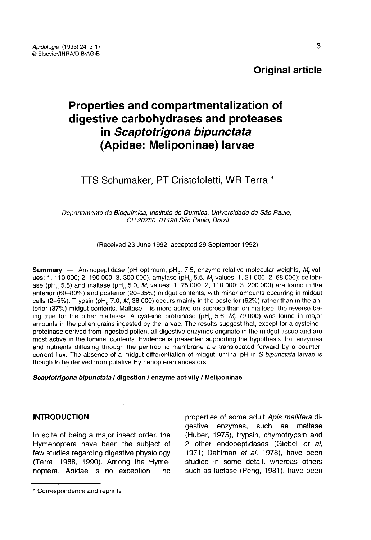## **Original article**

# Properties and compartmentalization of digestive carbohydrases and proteases in Scaptotrigona bipunctata (Apidae: Meliponinae) larvae

## TTS Schumaker. PT Cristofoletti, WR Terra \*

Departamento de Bioquímica, Instituto de Química, Universidade de São Paulo, CP 20780, 01498 Sâo Paulo, Brazil

(Received 23 June 1992; accepted 29 September 1992)

**Summary** — Aminopeptidase (pH optimum,  $pH_0$ , 7.5; enzyme relative molecular weights,  $M_r$  values: 1, 110 000; 2, 190 000; 3, 300 000), amylase (pH<sub>o</sub> 5.5, M<sub>r</sub> values: 1, 21 000; 2, 68 000); cellobiase (pH<sub>o</sub> 5.5) and maltase (pH<sub>o</sub> 5.0, M<sub>r</sub> values: 1, 75 000; 2, 110 000; 3, 200 000) are found in the anterior (60–80%) and posterior (20–35%) midgut contents, with minor amounts occurring in midgut<br>cells (2–5%). Trypsin (pH<sub>o</sub> 7.0, M<sub>r</sub> 38 000) occurs mainly in the posterior (62%) rather than in the an-<br>terior (37%) midgu terior (37%) midgut contents. Maltase 1 is more active on sucrose than on maltose, the reverse be-<br>ing true for the other maltases. A cysteine-proteinase (pH<sub>o</sub> 5.6, M, 79 000) was found in major cells (2–5%). Trypsin (pH<sub>o</sub> 7.0, M<sub>r</sub> 38 000) occurs mainly in the posterior (62%) rather than in the anterior (37%) midgut contents. Maltase 1 is more active on sucrose than on maltose, the reverse being true for the ot proteinase derived from ingested pollen, all digestive enzymes originate in the midgut tissue and are most active in the luminal contents. Evidence is presented supporting the hypothesis that enzymes and nutrients diffusing through the peritrophic membrane are translocated forward by a countercurrent flux. The absence of a midgut differentiation of midgut luminal pH in S bipunctata larvae is though to be derived from putative Hymenopteran ancestors.

#### Scaptotrigona bipunctata / digestion / enzyme activity / Meliponinae

## INTRODUCTION

In spite of being a major insect order, the Hymenoptera have been the subject of few studies regarding digestive physiology (Terra, 1988, 1990). Among the Hymenoptera, Apidae is no exception. The properties of some adult Apis mellifera digestive enzymes, such as maltase (Huber, 1975), trypsin, chymotrypsin and 2 other endopeptidases (Giebel et al, 1971; Dahlman et al, 1978), have been studied in some detail, whereas others such as lactase (Peng, 1981), have been

<sup>\*</sup> Correspondence and reprints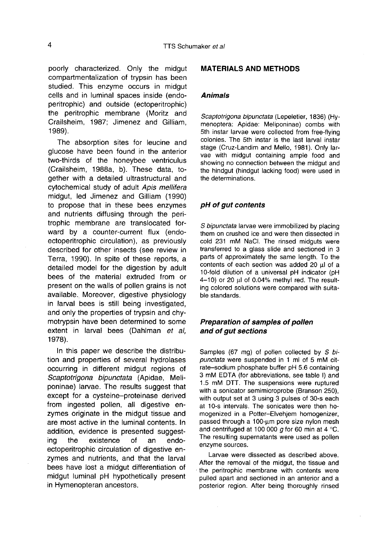poorly characterized. Only the midgut compartmentalization of trypsin has been studied. This enzyme occurs in midgut cells and in luminal spaces inside (endoperitrophic) and outside (ectoperitrophic) the peritrophic membrane (Moritz and Crailsheim, 1987; Jimenez and Gilliam, 1989).

The absorption sites for leucine and glucose have been found in the anterior two-thirds of the honeybee ventriculus (Crailsheim, 1988a, b). These data, together with a detailed ultrastructural and cytochemical study of adult Apis mellifera midgut, led Jimenez and Gilliam (1990) to propose that in these bees enzymes and nutrients diffusing through the peritrophic membrane are translocated forward by a counter-current flux (endoectoperitrophic circulation), as previously described for other insects (see review in Terra, 1990). In spite of these reports, a detailed model for the digestion by adult bees of the material extruded from or present on the walls of pollen grains is not available. Moreover, digestive physiology in larval bees is still being investigated, and only the properties of trypsin and chymotrypsin have been determined to some extent in larval bees (Dahlman et al, 1978).

In this paper we describe the distribution and properties of several hydrolases occurring in different midgut regions of Scaptotrigona bipunctata (Apidae, Meliponinae) larvae. The results suggest that except for a cysteine-proteinase derived from ingested pollen, all digestive enzymes originate in the midgut tissue and are most active in the luminal contents. In addition, evidence is presented suggest-<br>ing the existence of an endoexistence ectoperitrophic circulation of digestive enzymes and nutrients, and that the larval bees have lost a midgut differentiation of midgut luminal pH hypothetically present in Hymenopteran ancestors.

#### MATERIALS AND METHODS

#### Animals

Scaptotrigona bipunctata (Lepeletier, 1836) (Hymenoptera: Apidae: Meliponinae) combs with 5th instar larvae were collected from free-flying colonies. The 5th instar is the last larval instar stage (Cruz-Landim and Mello, 1981). Only larvae with midgut containing ample food and showing no connection between the midgut and the hindgut (hindgut lacking food) were used in the determinations.

## pH of gut contents

S bipunctata larvae were immobilized by placing them on crushed ice and were then dissected in cold 231 mM NaCl. The rinsed midguts were transferred to a glass slide and sectioned in 3 parts of approximately the same length. To the contents of each section was added 20 μl of a 10-fold dilution of a universal pH indicator (pH 4-10) or 20 μl of 0.04% methyl red. The resulting colored solutions were compared with suitable standards.

## Preparation of samples of pollen and of gut sections

Samples (67 mg) of pollen collected by S bipunctata were suspended in 1 ml of 5 mM cit-<br>rate-sodium phosphate buffer pH 5.6 containing 3 mM EDTA (for abbreviations, see table I) and 1.5 mM DTT. The suspensions were ruptured with a sonicator semimicroprobe (Branson 250), with output set at 3 using 3 pulses of 30-s each at 10-s intervals. The sonicates were then homogenized in a Potter-Elvehjem homogenizer, passed through a 100-μm pore size nylon mesh and centrifuged at 100 000 g for 60 min at 4  $^{\circ}$ C. The resulting supernatants were used as pollen enzyme sources.

Larvae were dissected as described above. After the removal of the midgut, the tissue and the peritrophic membrane with contents were pulled apart and sectioned in an anterior and a posterior region. After being thoroughly rinsed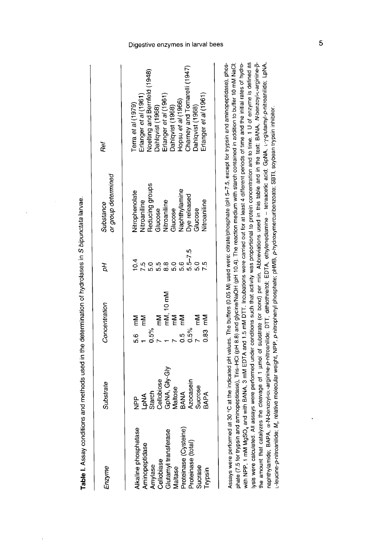| Enzyme                                                                                                                                                                  | Substrate                                                                                                | Concentration                                                                                              | Fр                                 | or group determined<br>Substance                                                                                                                  | Ref                                                                                                                                                                                                                                                                 |
|-------------------------------------------------------------------------------------------------------------------------------------------------------------------------|----------------------------------------------------------------------------------------------------------|------------------------------------------------------------------------------------------------------------|------------------------------------|---------------------------------------------------------------------------------------------------------------------------------------------------|---------------------------------------------------------------------------------------------------------------------------------------------------------------------------------------------------------------------------------------------------------------------|
| Alkaline phosphatase<br>Proteinase (Cysteine)<br>Glutamyl transferase<br>Maltase<br>Proteinase (total)<br>Aminopeptidase<br>Amylase<br>Cellobiase<br>Sucrase<br>Trypsin | LpNA<br>Starch<br>Cellobiose<br>CepNA, Gly-Gly<br>Maltose<br>BANA<br>BANA<br>Sucrose<br>BAPA<br><u>բ</u> | mM, 10 mM<br>mM<br>5.6 mM<br>1<br>$\sum_{i=1}^{n}$<br>Mm<br>E<br>ξ<br>$0.83 -$<br>0.5%<br>0.5%<br>ير<br>19 | $5.5 - 7.5$<br>$5.0$<br>5.6<br>5.6 | Nitrophenolate<br>Nitroaniline<br>Reducing groups<br>Glucose<br>Nitroaniline<br>Glucose<br>Naphthylamine<br>Nge released<br>litroaniline<br>Gaose | Erlanger <i>et al</i> (1961)<br>Noelting and Bernfeld (1948)<br>Dahlqvist (1968)<br>Erlanger <i>et al</i> (1961)<br>Dahlqvist (1966)<br>Hopsu <i>et al</i> (1966)<br>Charney and Tomarelli (1947)<br>Dahlqvist (1968)<br>rlanger et al (1961)<br>Terra et al (1979) |

Table I. Assay conditions and methods used in the determination of hydrolases in S bipunctata larvae.

ysis were calculated. All assays were performed under conditions such that activity was proportional to protein concentration and to time. 1 U of enzyme is defined as the amount that catalyzes the cleavage of 1 umol of substrate (or bond) per min. Abbreviations used in this table and in the text: BANA, N-benzoyl-t-arginine-Bwith NPP, 1 mM MgSO<sub>4</sub> and with BANA, 3 mM EDTA and 1.5 mM DTT. Incubations were carried out for at least 4 different periods of time and the initial rates of hydro-Assays were performed at 30 °C at the indicated pH values. The buffers (0.05 M) used were: citrate/phosphate (pH 5-7.5, except for trypsin and arninopeptidase), phosphate (7.5 for trypsin and aminopeptidase), Tris-HCl (pH 8.8) and glycine/NaOH (pH 10.4). The reaction medium with starch contained in addition to buffer 10 mM NaCl; naphthylamide; BAPA, «-N-benzoyl-pu-arginine-p-nitroaniide; DTT, dithiothreitol; EDTA, ethylenediamine – tetraacetic acid; GpNA, L-Y-glutamyl-p-nitroaniilde; LpNA, -leucine-p-nitroaniilde; M, relative molecular weight, NPP, p-nitrophenyl phosphate; pHMB, p-hydroxymercuribenzoate; SBTI, soybean trypsin inhibitor.

## Digestive enzymes in larval bees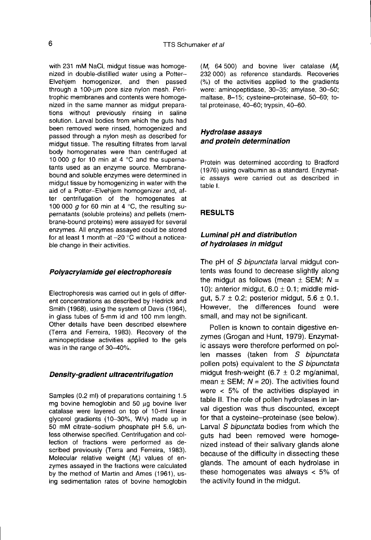with 231 mM NaCl, midgut tissue was homogenized in double-distilled water using a Potter-Elvehjem homogenizer, and then passed through a 100-μm pore size nylon mesh. Peritrophic membranes and contents were homogenized in the same manner as midgut preparations without previously rinsing in saline solution. Larval bodies from which the guts had been removed were rinsed, homogenized and passed through a nylon mesh as described for midgut tissue. The resulting filtrates from larval body homogenates were than centrifuged at 10 000  $g$  for 10 min at 4 °C and the supernatants used as an enzyme source. Membranebound and soluble enzymes were determined in midgut tissue by homogenizing in water with the aid of a Potter-Elvehjem homogenizer and, after centrifugation of the homogenates at 100 000 g for 60 min at 4  $^{\circ}$ C, the resulting supernatants (soluble proteins) and pellets (membrane-bound proteins) were assayed for several enzymes. All enzymes assayed could be stored for at least 1 month at  $-20$  °C without a noticeable change in their activities.

#### Polyacrylamide gel electrophoresis

Electrophoresis was carried out in gels of different concentrations as described by Hedrick and Smith (1968), using the system of Davis (1964), in glass tubes of 5-mm id and 100 mm length. Other details have been described elsewhere (Terra and Ferreira, 1983). Recovery of the aminopeptidase activities applied to the gels was in the range of 30-40%.

#### Density-gradient ultracentrifugation

Samples (0.2 ml) of preparations containing 1.5 mg bovine hemoglobin and 50 μg bovine liver catalase were layered on top of 10-ml linear glycerol gradients (10-30%, W/v) made up in 50 mM citrate-sodium phosphate pH 5.6, unless otherwise specified. Centrifugation and collection of fractions were performed as described previously (Terra and Ferreira, 1983). Molecular relative weight  $(M<sub>r</sub>)$  values of enzymes assayed in the fractions were calculated by the method of Martin and Ames (1961), using sedimentation rates of bovine hemoglobin  $(M_r$  64 500) and bovine liver catalase  $(M_r$  232 000) as reference standards. Recoveries (%) of the activities applied to the gradients were: aminopeptidase, 30-35; amylase, 30-50; maltase, 8-15; cysteine-proteinase, 50-60; total proteinase, 40-60; trypsin, 40-60.

## Hydrolase assays and protein determination

Protein was determined according to Bradford (1976) using ovalbumin as a standard. Enzymatic assays were carried out as described in table I.

#### RESULTS

## Luminal pH and distribution of hydrolases in midgut

The pH of S bipunctata larval midgut contents was found to decrease slightly along the midgut as follows (mean  $\pm$  SEM; N = 10): anterior midgut,  $6.0 \pm 0.1$ ; middle midgut,  $5.7 \pm 0.2$ ; posterior midgut,  $5.6 \pm 0.1$ . However, the differences found were small, and may not be significant.

Pollen is known to contain digestive enzymes (Grogan and Hunt, 1979). Enzymatic assays were therefore performed on pollen masses (taken from S bipunctata pollen pots) equivalent to the *S bipunctata* midqut fresh-weight  $(6.7 \pm 0.2 \text{ mg/animal})$ mean  $\pm$  SEM; N = 20). The activities found were < 5% of the activities displayed in table II. The role of pollen hydrolases in larval digestion was thus discounted, except for that a cysteine-proteinase (see below). Larval S bipunctata bodies from which the guts had been removed were homogenized instead of their salivary glands alone because of the difficulty in dissecting these glands. The amount of each hydrolase in these homogenates was always < 5% of the activity found in the midgut.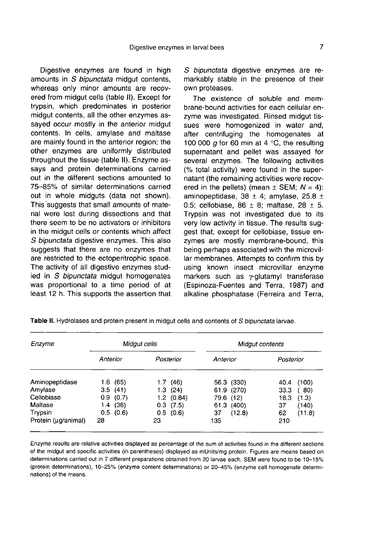Digestive enzymes are found in high amounts in S bipunctata midgut contents, whereas only minor amounts are recovered from midgut cells (table II). Except for trypsin, which predominates in posterior midgut contents, all the other enzymes assayed occur mostly in the anterior midgut contents. In cells, amylase and maltase are mainly found in the anterior region; the other enzymes are uniformly distributed throughout the tissue (table II). Enzyme assays and protein determinations carried out in the different sections amounted to 75-85% of similar determinations carried out in whole midguts (data not shown). This suggests that small amounts of material were lost during dissections and that there seem to be no activators or inhibitors in the midgut cells or contents which affect S bipunctata digestive enzymes. This also suggests that there are no enzymes that are restricted to the ectoperitrophic space. The activity of all digestive enzymes studied in S bipunctata midgut homogenates was proportional to a time period of at least 12 h. This supports the assertion that

S bipunctata digestive enzymes are remarkably stable in the presence of their own proteases.

The existence of soluble and membrane-bound activities for each cellular enzyme was investigated. Rinsed midgut tissues were homogenized in water and, after centrifuging the homogenates at 100 000  $q$  for 60 min at 4 °C, the resulting supernatant and pellet was assayed for several enzymes. The following activities (% total activity) were found in the supernatant (the remaining activities were recovered in the pellets) (mean  $\pm$  SEM;  $N = 4$ ): aminopeptidase, 38  $\pm$  4; amylase, 25.8  $\pm$ 0.5; cellobiase,  $86 \pm 8$ ; maltase,  $28 \pm 5$ . Trypsin was not investigated due to its very low activity in tissue. The results suggest that, except for cellobiase, tissue enzymes are mostly membrane-bound, this being perhaps associated with the microvillar membranes. Attempts to confirm this by using known insect microvillar enzyme markers such as γ-glutamyl transferase (Espinoza-Fuentes and Terra, 1987) and alkaline phosphatase (Ferreira and Terra,

| Enzyme              | Midgut cells |               | Midgut contents |               |
|---------------------|--------------|---------------|-----------------|---------------|
|                     | Anterior     | Posterior     | Anterior        | Posterior     |
| Aminopeptidase      | 1.6 (65)     | 1.7(46)       | 56.3 (330)      | (100)<br>40.4 |
| Amylase             | 3.5(41)      | 1.3(24)       | 61.9 (270)      | 33.3<br>(80)  |
| Cellobiase          | (0.7)<br>0.9 | $1.2$ (0.84)  | 79.6 (12)       | 18.3<br>(1.3) |
| Maltase             | (36)<br>1.4  | $0.3$ $(7.5)$ | 61.3<br>(400)   | 37<br>(140)   |
| Trypsin             | 0.5(0.6)     | 0.5(0.6)      | (12.8)<br>37    | 62<br>(11.8)  |
| Protein (µg/animal) | 28           | 23            | 135             | 210           |

Table II. Hydrolases and protein present in midgut cells and contents of S bipunctata larvae.

Enzyme results are relative activities displayed as percentage of the sum of activities found in the different sections of the midgut and specific activities (in parentheses) displayed as mUnits/mg protein. Figures are means based on determinations carried out in 7 different preparations obtained from 20 larvae each. SEM were found to be 10-15% (protein determinations), 10-25% (enzyme content determinations) or 20-45% (enzyme cell homogenate determinations) of the means.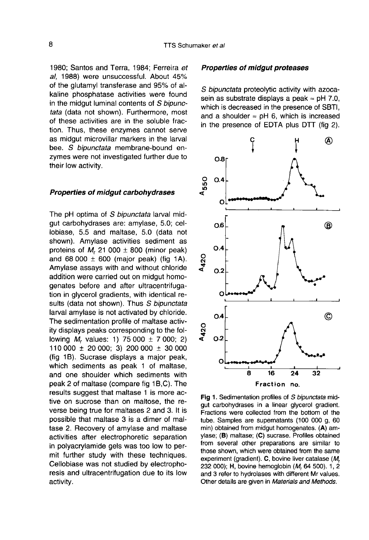1980; Santos and Terra, 1984; Ferreira et al, 1988) were unsuccessful. About 45% of the glutamyl transferase and 95% of alkaline phosphatase activities were found in the midgut luminal contents of S bipunctata (data not shown). Furthermore, most of these activities are in the soluble fraction. Thus, these enzymes cannot serve as midgut microvillar markers in the larval bee. S bipunctata membrane-bound enzymes were not investigated further due to their low activity.

#### Properties of midgut carbohydrases

The pH optima of S bipunctata larval midgut carbohydrases are: amylase, 5.0; cellobiase, 5.5 and maltase, 5.0 (data not shown). Amylase activities sediment as proteins of M, 21 000  $\pm$  800 (minor peak) and 68 000  $\pm$  600 (major peak) (fig 1A). Amylase assays with and without chloride addition were carried out on midgut homogenates before and after ultracentrifugation in glycerol gradients, with identical results (data not shown). Thus S bipunctata larval amylase is not activated by chloride. The sedimentation profile of maltase activity displays peaks corresponding to the following  $M_r$  values: 1) 75 000  $\pm$  7 000; 2) 110 000 ± 20 000; 3) 200 000 ± 30 000 (fig 1B). Sucrase displays a major peak, which sediments as peak 1 of maltase, and one shoulder which sediments with peak 2 of maltase (compare fig 1B,C). The results suggest that maltase 1 is more active on sucrose than on maltose, the reverse being true for maltases 2 and 3. It is possible that maltase 3 is a dimer of maltase 2. Recovery of amylase and maltase activities after electrophoretic separation in polyacrylamide gels was too low to permit further study with these techniques. Cellobiase was not studied by electrophoresis and ultracentrifugation due to its low activity.

#### Properties of midgut proteases

S bipunctata proteolytic activity with azocasein as substrate displays a peak  $\approx$  pH 7.0, which is decreased in the presence of SBTI, and a shoulder  $\approx$  pH 6, which is increased in the presence of EDTA plus DTT (fig 2).



Fig 1. Sedimentation profiles of S bipunctata midgut carbohydrases in a linear glycerol gradient. Fractions were collected from the bottom of the tube. Samples are supernatants (100 000 g, 60 min) obtained from midgut homogenates. (A) amylase; (B) maltase; (C) sucrase. Profiles obtained from several other preparations are similar to those shown, which were obtained from the same experiment (gradient). C, bovine liver catalase (M, 232 000); H, bovine hemoglobin (M, 64 500). 1, 2 and 3 refer to hydrolases with different Mr values. Other details are given in Materials and Methods.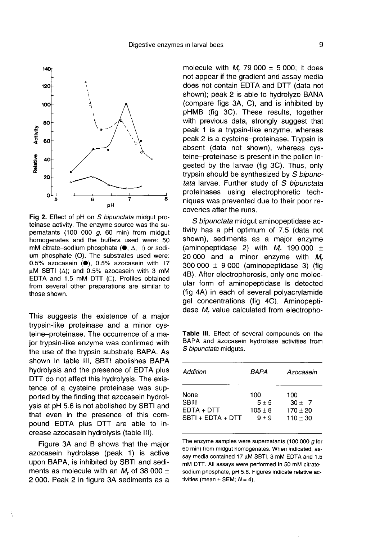

Fig 2. Effect of pH on S bipunctata midgut proteinase activity. The enzyme source was the supernatants (100 000  $g$ , 60 min) from midgut homogenates and the buffers used were: 50 mM citrate-sodium phosphate ( $\bullet$ ,  $\Delta$ ,  $\Box$ ) or sodium phosphate (O). The substrates used were: 0.5% azocasein (0), 0.5% azocasein with 17  $\mu$ M SBTI ( $\Delta$ ); and 0.5% azocasein with 3 mM EDTA and 1.5 mM DTT (...). Profiles obtained from several other preparations are similar to those shown.

This suggests the existence of a major trypsin-like proteinase and a minor cysteine-proteinase. The occurrence of a major trypsin-like enzyme was confirmed with the use of the trypsin substrate BAPA. As shown in table III, SBTI abolishes BAPA hydrolysis and the presence of EDTA plus DTT do not affect this hydrolysis. The existence of a cysteine proteinase was supported by the finding that azocasein hydrolysis at pH 5.6 is not abolished by SBTI and that even in the presence of this compound EDTA plus DTT are able to increase azocasein hydrolysis (table III).

Figure 3A and B shows that the major azocasein hydrolase (peak 1) is active upon BAPA, is inhibited by SBTI and sediments as molecule with an  $M_r$  of 38 000  $\pm$ 2 000. Peak 2 in figure 3A sediments as a

molecule with  $M_r$  79 000  $\pm$  5 000; it does not appear if the gradient and assay media does not contain EDTA and DTT (data not shown); peak 2 is able to hydrolyze BANA (compare figs 3A, C), and is inhibited by pHMB (fig 3C). These results, together with previous data, strongly suggest that peak 1 is a trypsin-like enzyme, whereas peak 2 is a cysteine-proteinase. Trypsin is absent (data not shown), whereas cysteine-proteinase is present in the pollen ingested by the larvae (fig 3C). Thus, only trypsin should be synthesized by S bipunctata larvae. Further study of S bipunctata proteinases using electrophoretic techniques was prevented due to their poor recoveries after the runs.

S bipunctata midgut aminopeptidase activity has a pH optimum of 7.5 (data not shown), sediments as a major enzyme (aminopeptidase 2) with  $M_r$  190 000  $\pm$ 20 000 and a minor enzyme with  $M_r$  $300\,000 \pm 9\,000$  (aminopeptidase 3) (fig 4B). After electrophoresis, only one molecular form of aminopeptidase is detected (fig 4A) in each of several polyacrylamide gel concentrations (fig 4C). Aminopeptidase M<sub>r</sub> value calculated from electropho-

Table III. Effect of several compounds on the BAPA and azocasein hydrolase activities from S bipunctata midquts.

| Addition          | BAPA      | Azocasein    |
|-------------------|-----------|--------------|
| None              | 100       | 100          |
| SBTI              | $5 + 5$   | $30 + 7$     |
| EDTA + DTT        | $105 + 8$ | $170 \pm 20$ |
| SBTI + EDTA + DTT | $9 \pm 9$ | $110 + 30$   |

The enzyme samples were supernatants (100 000 q for 60 min) from midgut homogenates. When indicated, assay media contained 17 µM SBTI, 3 mM EDTA and 1.5 mM DTT. All assays were performed in 50 mM citratesodium phosphate, pH 5.6. Figures indicate relative activities (mean  $\pm$  SEM;  $N = 4$ ).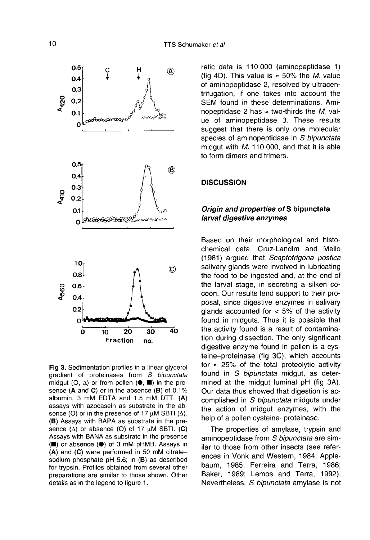

Fig 3. Sedimentation profiles in a linear glycerol gradient of proteinases from S bipunctata midgut (O,  $\Delta$ ) or from pollen ( $\bullet$ ,  $\blacksquare$ ) in the presence  $(A \text{ and } C)$  or in the absence  $(B)$  of 0.1% albumin, 3 mM EDTA and 1.5 mM DTT. (A) assays with azocasein as substrate in the absence (O) or in the presence of 17  $\mu$ M SBTI ( $\Delta$ ). (B) Assays with BAPA as substrate in the presence  $(\Delta)$  or absence  $(O)$  of 17  $\mu$ M SBTI.  $(C)$ Assays with BANA as substrate in the presence (■) or absence (●) of 3 mM pHMB. Assays in  $(A)$  and  $(C)$  were performed in 50 mM citratesodium phosphate pH 5.6; in (B) as described for trypsin. Profiles obtained from several other preparations are similar to those shown. Other details as in the legend to figure 1.

retic data is 110 000 (aminopeptidase 1) (fig 4D). This value is  $\approx$  50% the *M*, value of aminopeptidase 2, resolved by ultracentrifugation, if one takes into account the SEM found in these determinations. Aminopeptidase 2 has  $\approx$  two-thirds the M<sub>r</sub> value of aminopeptidase 3. These results suggest that there is only one molecular species of aminopeptidase in S bipunctata midgut with  $M<sub>r</sub>$  110 000, and that it is able to form dimers and trimers.

#### **DISCUSSION**

## Origin and properties of S bipunctata larval digestive enzymes

Based on their morphological and histochemical data, Cruz-Landim and Mello (1981) argued that Scaptotrigona postica salivary glands were involved in lubricating the food to be ingested and, at the end of the larval stage, in secreting a silken cocoon. Our results lend support to their proposal, since digestive enzymes in salivary glands accounted for  $<$  5% of the activity found in midguts. Thus it is possible that the activity found is a result of contamination during dissection. The only significant digestive enzyme found in pollen is a cysteine-proteinase (fig 3C), which accounts for  $\approx$  25% of the total proteolytic activity found in S bipunctata midgut, as determined at the midgut luminal pH (fig 3A). Our data thus showed that digestion is accomplished in S bipunctata midguts under the action of midgut enzymes, with the help of a pollen cysteine-proteinase.

The properties of amylase, trypsin and aminopeptidase from S bipunctata are similar to those from other insects (see references in Vonk and Western, 1984; Applebaum, 1985; Ferreira and Terra, 1986; Baker, 1989; Lemos and Terra, 1992). Nevertheless, S bipunctata amylase is not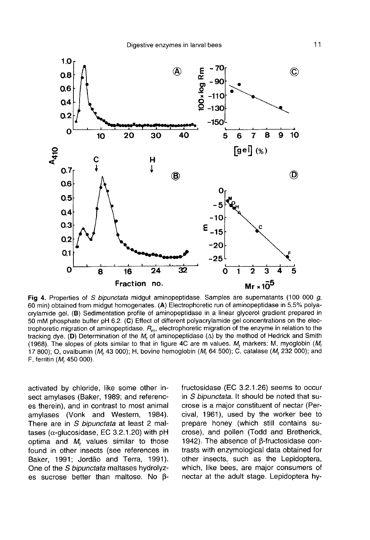

Fig 4. Properties of S bipunctata midgut aminopeptidase. Samples are supernatants (100 000 g, 60 min) obtained from midgut homogenates. (A) Electrophoretic run of aminopeptidase in 5.5% polyacrylamide gel. (B) Sedimentation profile of aminopeptidase in a linear glycerol gradient prepared in 50 mM phosphate buffer pH 6.2. (C) Effect of different polyacrylamide gel concentrations on the electrophoretic migration of aminopeptidase.  $R_m$ , electrophoretic migration of the enzyme in relation to the tracking dye. (D) Determination of the M, of aminopeptidase  $(\Delta)$  by the method of Hedrick and Smith (1968). The slopes of plots similar to that in figure 4C are m values. M, markers: M, myoglobin (M, 17 800); O, ovalbumin (M, 43 000); H, bovine hemoglobin (M, 64 500); C, catalase (M, 232 000); and F, ferritin (M, 450 000).

activated by chloride, like some other insect amylases (Baker, 1989; and references therein), and in contrast to most animal amylases (Vonk and Western, 1984). There are in S bipunctata at least 2 maltases ( $α$ -glucosidase, EC 3.2.1.20) with pH optima and  $M_r$  values similar to those found in other insects (see references in Baker, 1991; Jordão and Terra, 1991). One of the S bipunctata maltases hydrolyzes sucrose better than maltose. No βfructosidase (EC 3.2.1.26) seems to occur in S bipunctata. It should be noted that sucrose is a major constituent of nectar (Percival, 1961), used by the worker bee to prepare honey (which still contains sucrose), and pollen (Todd and Bretherick, 1942). The absence of β-fructosidase contrasts with enzymological data obtained for other insects, such as the Lepidoptera, which, like bees, are major consumers of nectar at the adult stage. Lepidoptera hy-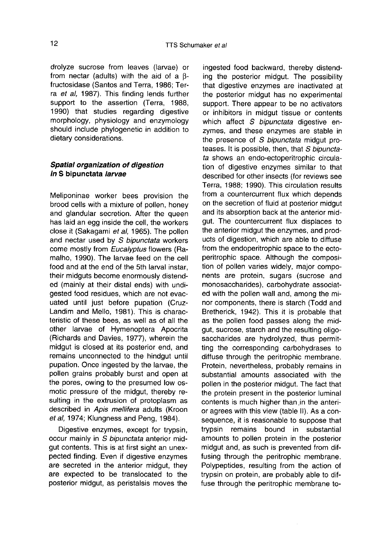drolyze sucrose from leaves (larvae) or from nectar (adults) with the aid of a β fructosidase (Santos and Terra, 1986; Terra et al, 1987). This finding lends further support to the assertion (Terra, 1988, 1990) that studies regarding digestive morphology, physiology and enzymology should include phylogenetic in addition to dietary considerations.

## Spatial organization of digestion in S bipunctata larvae

Meliponinae worker bees provision the brood cells with a mixture of pollen, honey and glandular secretion. After the queen has laid an egg inside the cell, the workers close it (Sakagami et al, 1965). The pollen and nectar used by S bipunctata workers come mostly from Eucalyptus flowers (Ramalho, 1990). The larvae feed on the cell food and at the end of the 5th larval instar, their midguts become enormously distended (mainly at their distal ends) with undigested food residues, which are not evacuated until just before pupation (Cruz-Landim and Mello, 1981). This is characteristic of these bees, as well as of all the other larvae of Hymenoptera Apocrita (Richards and Davies, 1977), wherein the midgut is closed at its posterior end, and remains unconnected to the hindgut until pupation. Once ingested by the larvae, the pollen grains probably burst and open at the pores, owing to the presumed low osmotic pressure of the midgut, thereby resulting in the extrusion of protoplasm as described in Apis mellifera adults (Kroon et al, 1974; Klungness and Peng, 1984).

Digestive enzymes, except for trypsin, occur mainly in S bipunctata anterior midgut contents. This is at first sight an unexpected finding. Even if digestive enzymes are secreted in the anterior midgut, they are expected to be translocated to the posterior midgut, as peristalsis moves the

ingested food backward, thereby distending the posterior midgut. The possibility that digestive enzymes are inactivated at the posterior midgut has no experimental support. There appear to be no activators or inhibitors in midgut tissue or contents which affect S bipunctata digestive enzymes, and these enzymes are stable in the presence of S bipunctata midgut proteases. It is possible, then, that S bipunctata shows an endo-ectoperitrophic circulation of digestive enzymes similar to that described for other insects (for reviews see Terra, 1988; 1990). This circulation results from a countercurrent flux which depends on the secretion of fluid at posterior midgut and its absorption back at the anterior midgut. The countercurrent flux displaces to the anterior midgut the enzymes, and products of digestion, which are able to diffuse from the endoperitrophic space to the ectoperitrophic space. Although the composition of pollen varies widely, major components are protein, sugars (sucrose and monosaccharides), carbohydrate associated with the pollen wall and, among the minor components, there is starch (Todd and Bretherick, 1942). This it is probable that as the pollen food passes along the midgut, sucrose, starch and the resulting oligosaccharides are hydrolyzed, thus permitting the corresponding carbohydrases to diffuse through the peritrophic membrane. Protein, nevertheless, probably remains in substantial amounts associated with the pollen in the posterior midgut. The fact that the protein present in the posterior luminal contents is much higher than ,in the anterior agrees with this view (table II). As a consequence, it is reasonable to suppose that trypsin remains bound in substantial amounts to pollen protein in the posterior midgut and, as such is prevented from diffusing through the peritrophic membrane. Polypeptides, resulting from the action of trypsin on protein, are probably able to diffuse through the peritrophic membrane to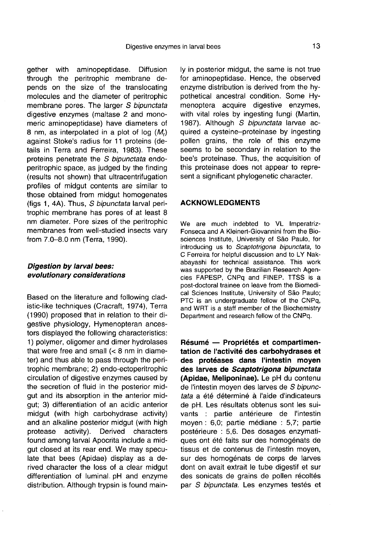gether with aminopeptidase. Diffusion through the peritrophic membrane depends on the size of the translocating molecules and the diameter of peritrophic membrane pores. The larger S bipunctata digestive enzymes (maltase 2 and monomeric aminopeptidase) have diameters of 8 nm, as interpolated in a plot of log  $(M_r)$ against Stoke's radius for 11 proteins (details in Terra and Ferreira, 1983). These proteins penetrate the S bipunctata endoperitrophic space, as judged by the finding (results not shown) that ultracentrifugation profiles of midgut contents are similar to those obtained from midgut homogenates (figs 1, 4A). Thus, S bipunctata larval peritrophic membrane has pores of at least 8 nm diameter. Pore sizes of the peritrophic membranes from well-studied insects vary from 7.0-8.0 nm (Terra, 1990).

## Digestion by larval bees: evolutionary considerations

Based on the literature and following cladistic-like techniques (Cracraft, 1974), Terra (1990) proposed that in relation to their digestive physiology, Hymenopteran ancestors displayed the following characteristics: 1) polymer, oligomer and dimer hydrolases that were free and small  $( $8 \, \text{nm}$  in diame$ ter) and thus able to pass through the peritrophic membrane; 2) endo-ectoperitrophic circulation of digestive enzymes caused by the secretion of fluid in the posterior midgut and its absorption in the anterior midgut; 3) differentiation of an acidic anterior midgut (with high carbohydrase activity) and an alkaline posterior midgut (with high protease activity). Derived characters found among larval Apocrita include a midgut closed at its rear end. We may speculate that bees (Apidae) display as a derived character the loss of a clear midgut differentiation of luminal. pH and enzyme distribution. Although trypsin is found mainly in posterior midgut, the same is not true for aminopeptidase. Hence, the observed enzyme distribution is derived from the hypothetical ancestral condition. Some Hymenoptera acquire digestive enzymes, with vital roles by ingesting fungi (Martin, 1987). Although S bipunctata larvae acquired a cysteine-proteinase by ingesting pollen grains, the role of this enzyme seems to be secondary in relation to the bee's proteinase. Thus, the acquisition of this proteinase does not appear to represent a significant phylogenetic character.

#### ACKNOWLEDGMENTS

We are much indebted to VL Imperatriz-<br>Fonseca and A Kleinert-Giovannini from the Biosciences Institute, University of São Paulo, for introducing us to Scaptotrigona bipunctata, to C Ferreira for helpful discussion and to LY Nakabayashi for technical assistance. This work was supported by the Brazilian Research Agencies FAPESP, CNPq and FINEP. TTSS is a post-doctoral trainee on leave from the Biomedical Sciences Institute, University of São Paulo; PTC is an undergraduate fellow of the CNPq, and WRT is a staff member of the Biochemistry Department and research fellow of the CNPq.

Résumé — Propriétés et compartimentation de l'activité des carbohydrases et des protéases dans l'intestin moyen des larves de Scaptotrigona bipunctata (Apidae, Meliponinae). Le pH du contenu de l'intestin moyen des larves de S bipunctata a été déterminé à l'aide d'indicateurs de pH. Les résultats obtenus sont les suivants : partie antérieure de l'intestin moyen : 6,0; partie médiane : 5,7; partie postérieure : 5,6. Des dosages enzymatiques ont été faits sur des homogénats de tissus et de contenus de l'intestin moyen, sur des homogénats de corps de larves dont on avait extrait le tube digestif et sur des sonicats de grains de pollen récoltés par S bipunctata. Les enzymes testés et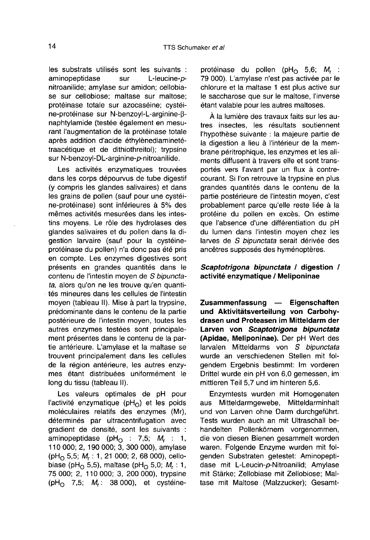les substrats utilisés sont les suivants : aminopeptidase sur L-leucine-pnitroanilide; amylase sur amidon; cellobiase sur cellobiose; maltase sur maltose; protéinase totale sur azocaséine; cystéine-protéinase sur N-benzoyl-L-arginine-β naphtylamide (testée également en mesurant l'augmentation de la protéinase totale après addition d'acide éthylènediaminetétraacétique et de dithiothreitol); trypsine sur N-benzoyl-DL-arginine-p-nitroanilide.

Les activités enzymatiques trouvées dans les corps dépourvus de tube digestif (y compris les glandes salivaires) et dans les grains de pollen (sauf pour une cystéine-protéinase) sont inférieures à 5% des mêmes activités mesurées dans les intestins moyens. Le rôle des hydrolases des glandes salivaires et du pollen dans la digestion larvaire (sauf pour la cystéineprotéinase du pollen) n'a donc pas été pris en compte. Les enzymes digestives sont présents en grandes quantités dans le contenu de l'intestin moyen de S bipunctata, alors qu'on ne les trouve qu'en quantités mineures dans les cellules de l'intestin moyen (tableau II). Mise à part la trypsine, prédominante dans le contenu de la partie postérieure de l'intestin moyen, toutes les autres enzymes testées sont principalement présentes dans le contenu de la partie antérieure. L'amylase et la maltase se trouvent principalement dans les cellules de la région antérieure, les autres enzymes étant distribuées uniformément le long du tissu (tableau II).

Les valeurs optimales de pH pour l'activité enzymatique ( $pH_0$ ) et les poids moléculaires relatifs des enzymes (Mr), déterminés par ultracentrifugation avec gradient de densité, sont les suivants :<br>aminopeptidase (pH<sub>O</sub> : 7,5;  $M_r$  : 1, moleculaires relatins des enzymes (Mr),<br>déterminés par ultracentrifugation avec<br>gradient de densité, sont les suivants :<br>aminopeptidase (pH<sub>O</sub> : 7,5;  $M_r$  : 1,<br>110 000; 2, 190 000; 3, 300 000), amylase<br>(pH<sub>O</sub> 5,5;  $M_r$  : (pH<sub>O</sub> 5,5;  $M_r$ : 1, 21 000; 2, 68 000), cello-<br>biase (pH<sub>O</sub> 5,5), maltase (pH<sub>O</sub> 5,0;  $M_r$ : 1, 75 000; 2, 110 000; 3, 200 000), trypsine (pH<sub>O</sub> 7,5;  $M_r$ : 38 000), et cystéineprotéinase du pollen (pH<sub>O</sub> 5,6; M<sub>r</sub> :<br>79 000). L'amylase n'est pas activée par le chlorure et la maltase 1 est plus active sur le saccharose que sur le maltose, l'inverse étant valable pour les autres maltoses.

À la lumière des travaux faits sur les autres insectes, les résultats soutiennent l'hypothèse suivante : la majeure partie de la digestion a lieu à l'intérieur de la membrane péritrophique, les enzymes et les aliments diffusent à travers elle et sont transportés vers l'avant par un flux à contrecourant. Si l'on retrouve la trypsine en plus grandes quantités dans le contenu de la partie postérieure de l'intestin moyen, c'est probablement parce qu'elle reste liée à la protéine du pollen en excès. On estime que l'absence d'une différentiation du pH du lumen dans l'intestin moyen chez les larves de S bipunctata serait dérivée des ancêtres supposés des hyménoptères.

## Scaptotrigona bipunctata / digestion / activité enzymatique / Meliponinae

Zusammenfassung — Eigenschaften und Aktivitätsverteilung von Carbohydrasen und Proteasen im Mitteldarm der Larven von Scaptotrigona bipunctata (Apidae, Meliponinae). Der pH Wert des larvalen Mitteldarms von S bipunctata wurde an verschiedenen Stellen mit folgendem Ergebnis bestimmt: Im vorderen Drittel wurde ein pH von 6,0 gemessen, im mittleren Teil 5,7 und im hinteren 5,6.

Enzymtests wurden mit Homogenaten<br>aus Mitteldarmoewebe. Mitteldarminhalt Mitteldarmgewebe, Mitteldarminhalt und von Larven ohne Darm durchgeführt. Tests wurden auch an mit Ultraschall behandelten Pollenkörnern vorgenommen, die von diesen Bienen gesammelt worden waren. Folgende Enzyme wurden mit folgenden Substraten getestet: Aminopeptidase mit L-Leucin-p-Nitroanilid; Amylase mit Stärke; Zellobiase mit Zellobiose; Maltase mit Maltose (Malzzucker); Gesamt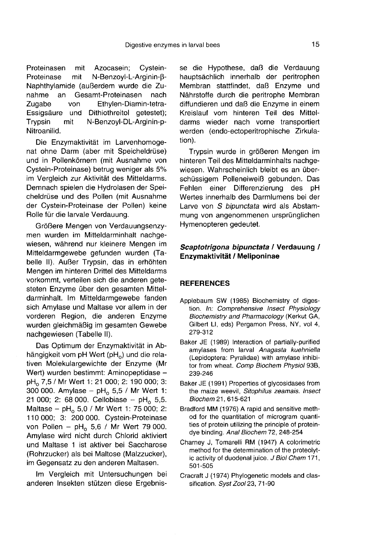Proteinasen mit Azocasein; Cystein-Proteinase mit N-Benzoyl-L-Arginin-β- Naphthylamide (außerdem wurde die Zu-Gesamt-Proteinasen nach Zugabe von Ethylen-Diamin-tetra-<br>Essigsäure und Dithiothreitol getestet); Essigsäure und Dithiothreitol getestet);<br>Trypsin mit N-Benzovl-DL-Arginin-pmit N-Benzoyl-DL-Arginin-p-Nitroanilid.

Die Enzymaktivität im Larvenhomogenat ohne Darm (aber mit Speicheldrüse) und in Pollenkörnern (mit Ausnahme von Cystein-Proteinase) betrug weniger als 5% im Vergleich zur Aktivität des Mitteldarms. Demnach spielen die Hydrolasen der Speicheldrüse und des Pollen (mit Ausnahme der Cystein-Proteinase der Pollen) keine Rolle für die larvale Verdauung.

Größere Mengen von Verdauungsenzy men wurden im Mitteldarminhalt nachgewiesen, während nur kleinere Mengen im Mitteldarmgewebe gefunden wurden (Tabelle II). Außer Trypsin, das in erhöhten Mengen im hinteren Drittel des Mitteldarms vorkommt, verteilen sich die anderen gete steten Enzyme über den gesamten Mitteldarminhalt. Im Mitteldarmgewebe fanden sich Amylase und Maltase vor allem in der vorderen Region, die anderen Enzyme wurden gleichmäßig im gesamten Gewebe nachgewiesen (Tabelle II).

Das Optimum der Enzymaktivität in Abhängigkeit vom pH Wert (pH<sub>o</sub>) und die relativen Molekulargewichte der Enzyme (Mr Wert) wurden bestimmt: Aminopeptidase pH<sub>o</sub> 7,5 / Mr Wert 1: 21 000; 2: 190 000; 3: 300 000. Amylase – pH<sub>o</sub> 5,5 / Mr Wert 1: 21 000; 2: 68 000. Cellobiase - pH<sub>o</sub> 5,5. Maltase – pH<sub>o</sub> 5,0 / Mr Wert 1: 75 000; 2:<br>110 000; 3: 200 000. Cystein-Proteinase von Pollen – pH<sub>o</sub> 5,6 / Mr Wert 79 000. Amylase wird nicht durch Chlorid aktiviert und Maltase 1 ist aktiver bei Saccharose (Rohrzucker) als bei Maltose (Malzzucker), im Gegensatz zu den anderen Maltasen.

Im Vergleich mit Untersuchungen bei anderen Insekten stützen diese Ergebnisse die Hypothese, daß die Verdauung hauptsächlich innerhalb der peritrophen Membran stattfindet, daß Enzyme und Nährstoffe durch die peritrophe Membran diffundieren und daß die Enzyme in einem Kreislauf vom hinteren Teil des Mitteldarms wieder nach vorne transportiert werden (endo-ectoperitrophische Zirkulation).

Trypsin wurde in größeren Mengen im hinteren Teil des Mitteldarminhalts nachgewiesen. Wahrscheinlich bleibt es an überschüssigem Polleneiweiß gebunden. Das Fehlen einer Differenzierung des pH Wertes innerhalb des Darmlumens bei der Larve von S bipunctata wird als Abstammung von angenommenen ursprünglichen Hymenopteren gedeutet.

## Scaptotrigona bipunctata / Verdauung / Enzymaktivität / Meliponinae

## **REFERENCES**

- Applebaum SW (1985) Biochemistry of digestion. In: Comprehensive Insect Physiology Biochemistry and Pharmacology (Kerkut GA, Gilbert LI, eds) Pergamon Press, NY, vol 4, 279-312
- Baker JE (1989) Interaction of partially-purified amylases from larval Anagasta kuehniella (Lepidoptera: Pyralidae) with amylase inhibitor from wheat. Comp Biochem Physiol 93B, 239-246
- Baker JE (1991) Properties of glycosidases from the maize weevil, Sitophilus zeamais. Insect Biochem 21, 615-621
- Bradford MM (1976) A rapid and sensitive method for the quantitation of microgram quantities of protein utilizing the principle of proteindye binding. Anal Biochem 72, 248-254
- Charney J, Tomarelli RM (1947) A colorimetric method for the determination of the proteolytic activity of duodenal juice. J Biol Chem 171, 501-505
- Cracraft J (1974) Phylogenetic models and classification. Syst Zool 23, 71-90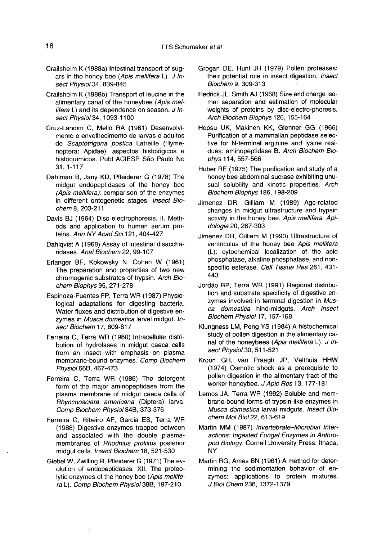- Crailsheim K (1988a) Intestinal transport of sugars in the honey bee (Apis mellifera L). J Insect Physiol 34, 839-845
- Crailsheim K (1988b) Transport of leucine in the alimentary canal of the honeybee (Apis mellifera L) and its dependence on season. J Insect Physiol 34, 1093-1100
- Cruz-Landim C, Mello RA (1981) Desenvolvimento e envelhecimento de larvas e adultos de Scaptotrigona postica Latreille (Hymenoptera: Apidae): aspectos histológicos e histoquímicos. Publ ACIESP São Paulo No 31, 1-117
- Dahlman B, Jany KD, Pfleiderer G (1978) The midgut endopeptidases of the honey bee (Apis mellifera): comparison of the enzymes in different ontogenetic stages. Insect Biochem 8, 203-211
- Davis BJ (1964) Disc electrophoresis. II. Methods and application to human serum proteins. Ann NY Acad Sci 121, 404-427
- Dahlqvist A (1968) Assay of intestinal disaccharidases. Anal Biochem 22, 99-107
- Erlanger BF, Kokowsky N, Cohen W (1961) The preparation and properties of two new chromogenic substrates of trypsin. Arch Biochem Biophys 95, 271-278
- Espinoza-Fuentes FP, Terra WR (1987) Physiological adaptations for digesting bacteria. Water fluxes and distribution of digestive enzymes in Musca domestica larval midgut. Insect Biochem 17, 809-817
- Ferreira C, Terra WR (1980) Intracellular distribution of hydrolases in midgut caeca cells from an insect with emphasis on plasma membrane-bound enzymes. Comp Biochem Physiol 66B, 467-473
- Ferreira C, Terra WR (1986) The detergent form of the major aminopeptidase from the plasma membrane of midgut caeca cells of Rhynchosciara americana (Diptera) larva. Comp Biochem Physiol 84B, 373-376
- Ferreira C, Ribeiro AF, Garcia ES, Terra WR (1988) Digestive enzymes trapped between and associated with the double plasmamembranes of Rhodnius prolixus posterior midgut cells. Insect Biochem 18, 521-530
- Giebel W, Zwilling R, Pfleiderer G (1971) The evolution of endopeptidases. XII. The proteolytic enzymes of the honey bee (Apis mellifera L). Comp Biochem Physiol 38B, 197-210
- Grogan DE, Hunt JH (1979) Pollen proteases: their potential role in insect digestion. Insect Biochem 9, 309-313
- Hedrick JL, Smith AJ (1968) Size and charge isomer separation and estimation of molecular weights of proteins by disc-electro-phoresis. Arch Biochem Biophys 126, 155-164
- Hopsu UK, Makinen KK, Glenner GG (1966) Purification of a mammalian peptidase selective for N-terminal arginine and lysine residues: aminopeptidase B. Arch Biochem Biophys 114, 557-566
- Huber RE (1975) The purification and study of a honey bee abdominal sucrase exhibiting unusual solubility and kinetic properties. Arch Biochem Biophys 186, 198-209
- Jimenez DR, Gilliam M (1989) Age-related changes in midgut ultrastructure and trypsin activity in the honey bee, Apis mellifera. Apidologie 20, 287-303
- Jimenez DR, Gilliam M (1990) Ultrastructure of ventriculus of the honey bee Apis mellifera (L): cytochemical localization of the acid phosphatase, alkaline phosphatase, and nonspecific esterase. Cell Tissue Res 261, 431-443
- Jordão BP, Terra WR (1991) Regional distribution and substrate specificity of digestive enzymes involved in terminal digestion in Musca domestica hind-midguts. Arch Insect Biochem Physiol 17, 157-168
- Klungness LM, Peng YS (1984) A histochemical study of pollen digestion in the alimentary canal of the honeybees (Apis mellifera L). J Insect Physiol 30, 511-521
- Kroon GH, van Praagh JP, Velthuis HHW (1974) Osmotic shock as a prerequisite to pollen digestion in the alimentary tract of the worker honeybee. J Apic Res 13, 177-181
- Lemos JA, Terra WR (1992) Soluble and membrane-bound forms of trypsin-like enzymes in Musca domestica larval midguts. Insect Biochem Mol Biol 22, 613-619
- Martin MM (1987) Invertebrate-Microbial Interactions: Ingested Fungal Enzymes in Anthropod Biology. Cornell University Press, Ithaca, NY
- Martin RG, Ames BN (1961) A method for determining the sedimentation behavior of enzymes: applications to protein mixtures. J Biol Chem 236, 1372-1379